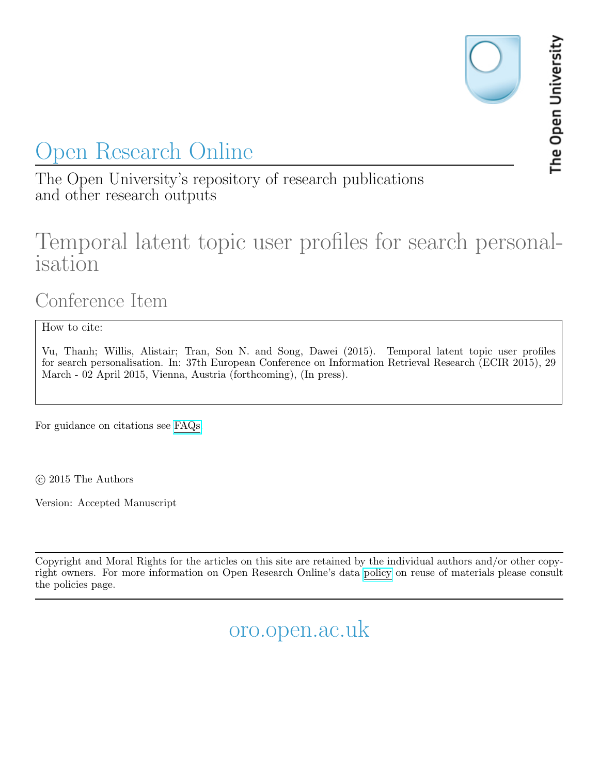# Open Research Online

The Open University's repository of research publications and other research outputs

## Temporal latent topic user profiles for search personalisation

Conference Item

How to cite:

Vu, Thanh; Willis, Alistair; Tran, Son N. and Song, Dawei (2015). Temporal latent topic user profiles for search personalisation. In: 37th European Conference on Information Retrieval Research (ECIR 2015), 29 March - 02 April 2015, Vienna, Austria (forthcoming), (In press).

For guidance on citations see [FAQs.](http://oro.open.ac.uk/help/helpfaq.html)

c 2015 The Authors

Version: Accepted Manuscript

Copyright and Moral Rights for the articles on this site are retained by the individual authors and/or other copyright owners. For more information on Open Research Online's data [policy](http://oro.open.ac.uk/policies.html) on reuse of materials please consult the policies page.

oro.open.ac.uk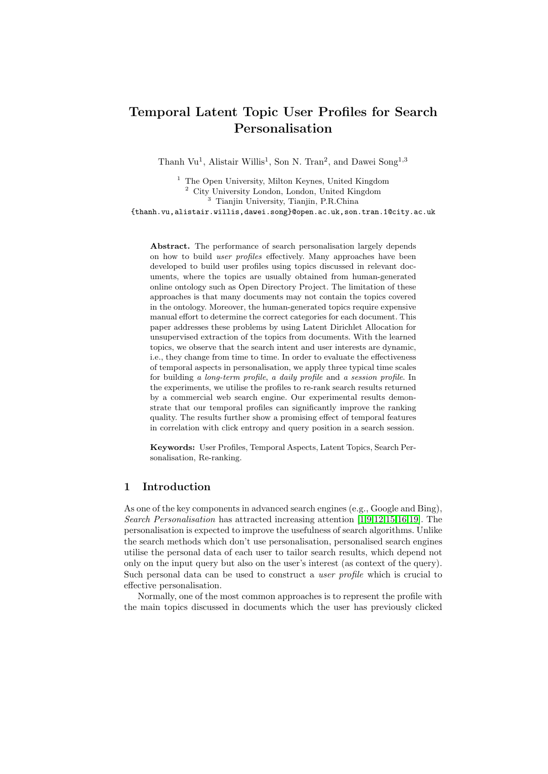### Temporal Latent Topic User Profiles for Search Personalisation

Thanh  $Vu<sup>1</sup>$ , Alistair Willis<sup>1</sup>, Son N. Tran<sup>2</sup>, and Dawei Song<sup>1,3</sup>

<sup>1</sup> The Open University, Milton Keynes, United Kingdom <sup>2</sup> City University London, London, United Kingdom <sup>3</sup> Tianjin University, Tianjin, P.R.China

{thanh.vu,alistair.willis,dawei.song}@open.ac.uk,son.tran.1@city.ac.uk

Abstract. The performance of search personalisation largely depends on how to build user profiles effectively. Many approaches have been developed to build user profiles using topics discussed in relevant documents, where the topics are usually obtained from human-generated online ontology such as Open Directory Project. The limitation of these approaches is that many documents may not contain the topics covered in the ontology. Moreover, the human-generated topics require expensive manual effort to determine the correct categories for each document. This paper addresses these problems by using Latent Dirichlet Allocation for unsupervised extraction of the topics from documents. With the learned topics, we observe that the search intent and user interests are dynamic, i.e., they change from time to time. In order to evaluate the effectiveness of temporal aspects in personalisation, we apply three typical time scales for building a long-term profile, a daily profile and a session profile. In the experiments, we utilise the profiles to re-rank search results returned by a commercial web search engine. Our experimental results demonstrate that our temporal profiles can significantly improve the ranking quality. The results further show a promising effect of temporal features in correlation with click entropy and query position in a search session.

Keywords: User Profiles, Temporal Aspects, Latent Topics, Search Personalisation, Re-ranking.

#### 1 Introduction

As one of the key components in advanced search engines (e.g., Google and Bing), Search Personalisation has attracted increasing attention [\[1,](#page-12-0)[9,](#page-12-1)[12](#page-12-2)[,15,](#page-12-3)[16,](#page-12-4)[19\]](#page-12-5). The personalisation is expected to improve the usefulness of search algorithms. Unlike the search methods which don't use personalisation, personalised search engines utilise the personal data of each user to tailor search results, which depend not only on the input query but also on the user's interest (as context of the query). Such personal data can be used to construct a user profile which is crucial to effective personalisation.

Normally, one of the most common approaches is to represent the profile with the main topics discussed in documents which the user has previously clicked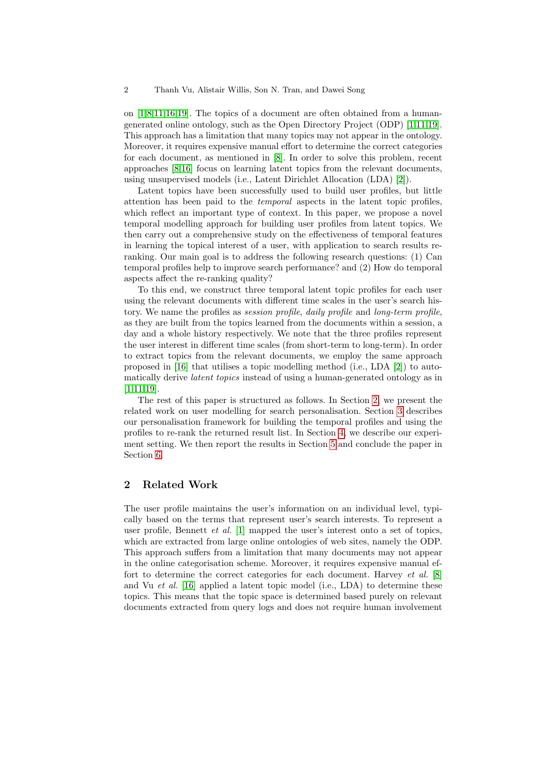on [\[1,](#page-12-0)[8](#page-12-6)[,11](#page-12-7)[,16,](#page-12-4)[19\]](#page-12-5). The topics of a document are often obtained from a humangenerated online ontology, such as the Open Directory Project (ODP) [\[1,](#page-12-0)[11,](#page-12-7)[19\]](#page-12-5). This approach has a limitation that many topics may not appear in the ontology. Moreover, it requires expensive manual effort to determine the correct categories for each document, as mentioned in [\[8\]](#page-12-6). In order to solve this problem, recent approaches [\[8](#page-12-6)[,16\]](#page-12-4) focus on learning latent topics from the relevant documents, using unsupervised models (i.e., Latent Dirichlet Allocation (LDA) [\[2\]](#page-12-8)).

Latent topics have been successfully used to build user profiles, but little attention has been paid to the temporal aspects in the latent topic profiles, which reflect an important type of context. In this paper, we propose a novel temporal modelling approach for building user profiles from latent topics. We then carry out a comprehensive study on the effectiveness of temporal features in learning the topical interest of a user, with application to search results reranking. Our main goal is to address the following research questions: (1) Can temporal profiles help to improve search performance? and (2) How do temporal aspects affect the re-ranking quality?

To this end, we construct three temporal latent topic profiles for each user using the relevant documents with different time scales in the user's search history. We name the profiles as session profile, daily profile and long-term profile, as they are built from the topics learned from the documents within a session, a day and a whole history respectively. We note that the three profiles represent the user interest in different time scales (from short-term to long-term). In order to extract topics from the relevant documents, we employ the same approach proposed in [\[16\]](#page-12-4) that utilises a topic modelling method (i.e., LDA [\[2\]](#page-12-8)) to automatically derive *latent topics* instead of using a human-generated ontology as in [\[1,](#page-12-0)[11](#page-12-7)[,19\]](#page-12-5).

The rest of this paper is structured as follows. In Section [2,](#page-2-0) we present the related work on user modelling for search personalisation. Section [3](#page-3-0) describes our personalisation framework for building the temporal profiles and using the profiles to re-rank the returned result list. In Section [4,](#page-6-0) we describe our experiment setting. We then report the results in Section [5](#page-8-0) and conclude the paper in Section [6.](#page-11-0)

#### <span id="page-2-0"></span>2 Related Work

The user profile maintains the user's information on an individual level, typically based on the terms that represent user's search interests. To represent a user profile, Bennett et al. [\[1\]](#page-12-0) mapped the user's interest onto a set of topics, which are extracted from large online ontologies of web sites, namely the ODP. This approach suffers from a limitation that many documents may not appear in the online categorisation scheme. Moreover, it requires expensive manual effort to determine the correct categories for each document. Harvey *et al.* [\[8\]](#page-12-6) and Vu et al.  $[16]$  applied a latent topic model (i.e., LDA) to determine these topics. This means that the topic space is determined based purely on relevant documents extracted from query logs and does not require human involvement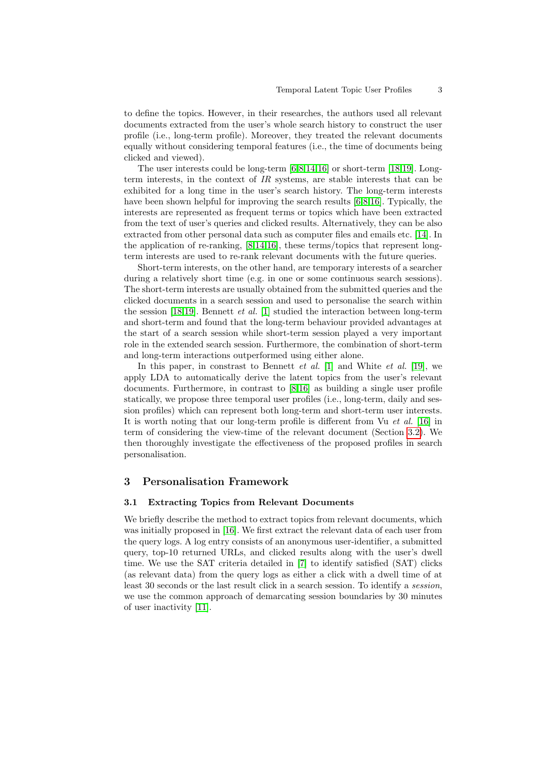to define the topics. However, in their researches, the authors used all relevant documents extracted from the user's whole search history to construct the user profile (i.e., long-term profile). Moreover, they treated the relevant documents equally without considering temporal features (i.e., the time of documents being clicked and viewed).

The user interests could be long-term [\[6,](#page-12-9)[8,](#page-12-6)[14](#page-12-10)[,16\]](#page-12-4) or short-term [\[18,](#page-12-11)[19\]](#page-12-5). Longterm interests, in the context of IR systems, are stable interests that can be exhibited for a long time in the user's search history. The long-term interests have been shown helpful for improving the search results [\[6,](#page-12-9)[8,](#page-12-6)[16\]](#page-12-4). Typically, the interests are represented as frequent terms or topics which have been extracted from the text of user's queries and clicked results. Alternatively, they can be also extracted from other personal data such as computer files and emails etc. [\[14\]](#page-12-10). In the application of re-ranking, [\[8,](#page-12-6)[14](#page-12-10)[,16\]](#page-12-4), these terms/topics that represent longterm interests are used to re-rank relevant documents with the future queries.

Short-term interests, on the other hand, are temporary interests of a searcher during a relatively short time (e.g. in one or some continuous search sessions). The short-term interests are usually obtained from the submitted queries and the clicked documents in a search session and used to personalise the search within the session [\[18,](#page-12-11)[19\]](#page-12-5). Bennett *et al.* [\[1\]](#page-12-0) studied the interaction between long-term and short-term and found that the long-term behaviour provided advantages at the start of a search session while short-term session played a very important role in the extended search session. Furthermore, the combination of short-term and long-term interactions outperformed using either alone.

In this paper, in constrast to Bennett *et al.* [\[1\]](#page-12-0) and White *et al.* [\[19\]](#page-12-5), we apply LDA to automatically derive the latent topics from the user's relevant documents. Furthermore, in contrast to [\[8,](#page-12-6)[16\]](#page-12-4) as building a single user profile statically, we propose three temporal user profiles (i.e., long-term, daily and session profiles) which can represent both long-term and short-term user interests. It is worth noting that our long-term profile is different from Vu et al. [\[16\]](#page-12-4) in term of considering the view-time of the relevant document (Section [3.2\)](#page-4-0). We then thoroughly investigate the effectiveness of the proposed profiles in search personalisation.

#### <span id="page-3-0"></span>3 Personalisation Framework

#### <span id="page-3-1"></span>3.1 Extracting Topics from Relevant Documents

We briefly describe the method to extract topics from relevant documents, which was initially proposed in [\[16\]](#page-12-4). We first extract the relevant data of each user from the query logs. A log entry consists of an anonymous user-identifier, a submitted query, top-10 returned URLs, and clicked results along with the user's dwell time. We use the SAT criteria detailed in [\[7\]](#page-12-12) to identify satisfied (SAT) clicks (as relevant data) from the query logs as either a click with a dwell time of at least 30 seconds or the last result click in a search session. To identify a session, we use the common approach of demarcating session boundaries by 30 minutes of user inactivity [\[11\]](#page-12-7).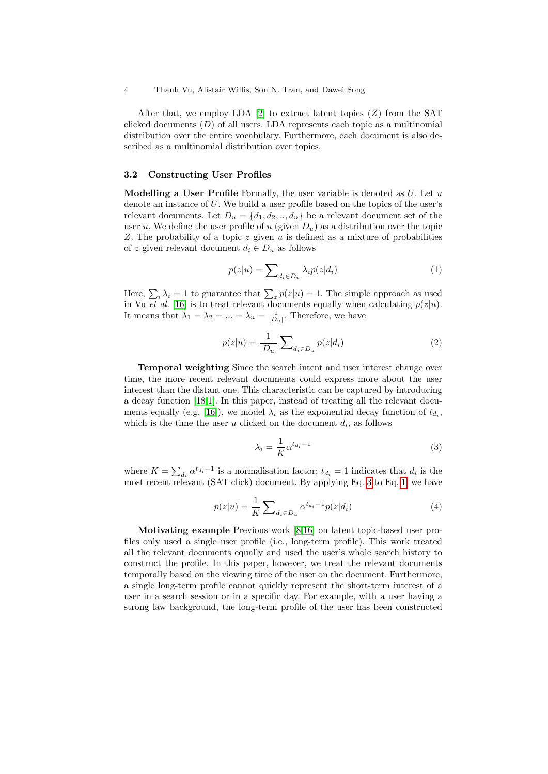After that, we employ LDA  $[2]$  to extract latent topics  $(Z)$  from the SAT clicked documents  $(D)$  of all users. LDA represents each topic as a multinomial distribution over the entire vocabulary. Furthermore, each document is also described as a multinomial distribution over topics.

#### <span id="page-4-0"></span>3.2 Constructing User Profiles

**Modelling a User Profile** Formally, the user variable is denoted as  $U$ . Let  $u$ denote an instance of U. We build a user profile based on the topics of the user's relevant documents. Let  $D_u = \{d_1, d_2, ..., d_n\}$  be a relevant document set of the user u. We define the user profile of u (given  $D_u$ ) as a distribution over the topic Z. The probability of a topic  $z$  given  $u$  is defined as a mixture of probabilities of z given relevant document  $d_i \in D_u$  as follows

<span id="page-4-2"></span>
$$
p(z|u) = \sum_{d_i \in D_u} \lambda_i p(z|d_i)
$$
 (1)

Here,  $\sum_i \lambda_i = 1$  to guarantee that  $\sum_z p(z|u) = 1$ . The simple approach as used in Vu et al. [\[16\]](#page-12-4) is to treat relevant documents equally when calculating  $p(z|u)$ . It means that  $\lambda_1 = \lambda_2 = ... = \lambda_n = \frac{1}{|D_u|}$ . Therefore, we have

$$
p(z|u) = \frac{1}{|D_u|} \sum_{d_i \in D_u} p(z|d_i)
$$
 (2)

Temporal weighting Since the search intent and user interest change over time, the more recent relevant documents could express more about the user interest than the distant one. This characteristic can be captured by introducing a decay function [\[18,](#page-12-11)[1\]](#page-12-0). In this paper, instead of treating all the relevant docu-ments equally (e.g. [\[16\]](#page-12-4)), we model  $\lambda_i$  as the exponential decay function of  $t_{d_i}$ , which is the time the user  $u$  clicked on the document  $d_i$ , as follows

<span id="page-4-1"></span>
$$
\lambda_i = \frac{1}{K} \alpha^{t_{d_i} - 1} \tag{3}
$$

where  $K = \sum_{d_i} \alpha^{t_{d_i}-1}$  is a normalisation factor;  $t_{d_i} = 1$  indicates that  $d_i$  is the most recent relevant (SAT click) document. By applying Eq. [3](#page-4-1) to Eq. [1,](#page-4-2) we have

$$
p(z|u) = \frac{1}{K} \sum_{d_i \in D_u} \alpha^{t_{d_i} - 1} p(z|d_i)
$$
 (4)

Motivating example Previous work [\[8,](#page-12-6)[16\]](#page-12-4) on latent topic-based user profiles only used a single user profile (i.e., long-term profile). This work treated all the relevant documents equally and used the user's whole search history to construct the profile. In this paper, however, we treat the relevant documents temporally based on the viewing time of the user on the document. Furthermore, a single long-term profile cannot quickly represent the short-term interest of a user in a search session or in a specific day. For example, with a user having a strong law background, the long-term profile of the user has been constructed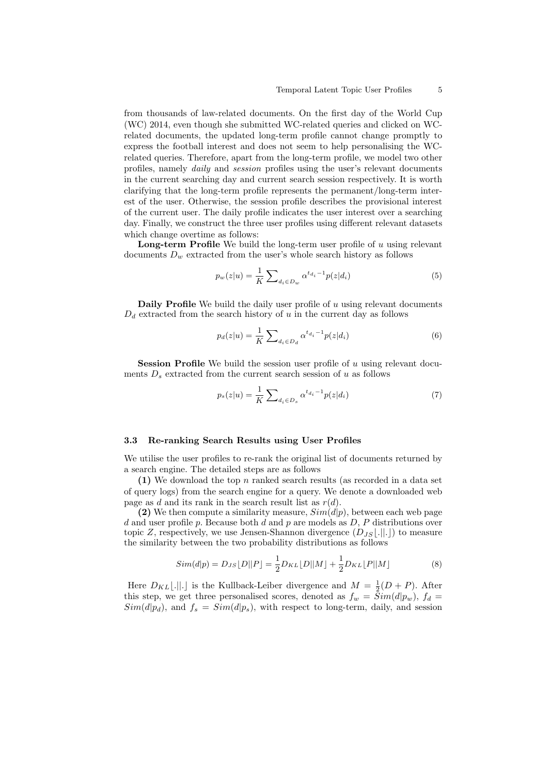from thousands of law-related documents. On the first day of the World Cup (WC) 2014, even though she submitted WC-related queries and clicked on WCrelated documents, the updated long-term profile cannot change promptly to express the football interest and does not seem to help personalising the WCrelated queries. Therefore, apart from the long-term profile, we model two other profiles, namely daily and session profiles using the user's relevant documents in the current searching day and current search session respectively. It is worth clarifying that the long-term profile represents the permanent/long-term interest of the user. Otherwise, the session profile describes the provisional interest of the current user. The daily profile indicates the user interest over a searching day. Finally, we construct the three user profiles using different relevant datasets which change overtime as follows:

**Long-term Profile** We build the long-term user profile of  $u$  using relevant documents  $D_w$  extracted from the user's whole search history as follows

$$
p_w(z|u) = \frac{1}{K} \sum_{d_i \in D_w} \alpha^{t_{d_i} - 1} p(z|d_i)
$$
 (5)

**Daily Profile** We build the daily user profile of  $u$  using relevant documents  $D_d$  extracted from the search history of u in the current day as follows

$$
p_d(z|u) = \frac{1}{K} \sum_{d_i \in D_d} \alpha^{t_{d_i} - 1} p(z|d_i)
$$
 (6)

**Session Profile** We build the session user profile of u using relevant documents  $D_s$  extracted from the current search session of u as follows

$$
p_s(z|u) = \frac{1}{K} \sum_{d_i \in D_s} \alpha^{t_{d_i} - 1} p(z|d_i)
$$
 (7)

#### 3.3 Re-ranking Search Results using User Profiles

We utilise the user profiles to re-rank the original list of documents returned by a search engine. The detailed steps are as follows

(1) We download the top n ranked search results (as recorded in a data set of query logs) from the search engine for a query. We denote a downloaded web page as d and its rank in the search result list as  $r(d)$ .

(2) We then compute a similarity measure,  $Sim(d|p)$ , between each web page d and user profile p. Because both d and p are models as  $D$ , P distributions over topic Z, respectively, we use Jensen-Shannon divergence  $(D_{JS}|\ldots|)$  to measure the similarity between the two probability distributions as follows

$$
Sim(d|p) = D_{JS}[D||P] = \frac{1}{2}D_{KL}[D||M] + \frac{1}{2}D_{KL}[P||M]
$$
 (8)

Here  $D_{KL}$ [.||.] is the Kullback-Leiber divergence and  $M = \frac{1}{2}(D + P)$ . After this step, we get three personalised scores, denoted as  $f_w = Sim(d|p_w)$ ,  $f_d =$  $Sim(d|p_d)$ , and  $f_s = Sim(d|p_s)$ , with respect to long-term, daily, and session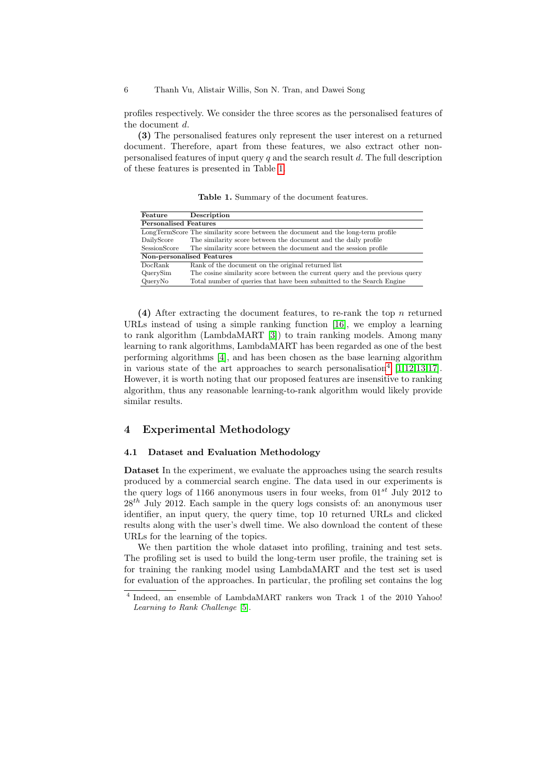profiles respectively. We consider the three scores as the personalised features of the document d.

(3) The personalised features only represent the user interest on a returned document. Therefore, apart from these features, we also extract other nonpersonalised features of input query q and the search result  $d$ . The full description of these features is presented in Table [1.](#page-6-1)

<span id="page-6-1"></span>Table 1. Summary of the document features.

| Feature                                                                           | Description                                                                  |  |  |  |  |  |
|-----------------------------------------------------------------------------------|------------------------------------------------------------------------------|--|--|--|--|--|
| <b>Personalised Features</b>                                                      |                                                                              |  |  |  |  |  |
| LongTermScore The similarity score between the document and the long-term profile |                                                                              |  |  |  |  |  |
| DailyScore                                                                        | The similarity score between the document and the daily profile              |  |  |  |  |  |
| SessionScore                                                                      | The similarity score between the document and the session profile            |  |  |  |  |  |
| Non-personalised Features                                                         |                                                                              |  |  |  |  |  |
| DocRank                                                                           | Rank of the document on the original returned list                           |  |  |  |  |  |
| QuerySim                                                                          | The cosine similarity score between the current query and the previous query |  |  |  |  |  |
| QueryNo                                                                           | Total number of queries that have been submitted to the Search Engine        |  |  |  |  |  |

(4) After extracting the document features, to re-rank the top n returned URLs instead of using a simple ranking function [\[16\]](#page-12-4), we employ a learning to rank algorithm (LambdaMART [\[3\]](#page-12-13)) to train ranking models. Among many learning to rank algorithms, LambdaMART has been regarded as one of the best performing algorithms [\[4\]](#page-12-14), and has been chosen as the base learning algorithm in various state of the art approaches to search personalisation<sup>[4](#page-6-2)</sup> [\[1,](#page-12-0)[12,](#page-12-2)[13](#page-12-15)[,17\]](#page-12-16). However, it is worth noting that our proposed features are insensitive to ranking algorithm, thus any reasonable learning-to-rank algorithm would likely provide similar results.

#### <span id="page-6-0"></span>4 Experimental Methodology

#### 4.1 Dataset and Evaluation Methodology

Dataset In the experiment, we evaluate the approaches using the search results produced by a commercial search engine. The data used in our experiments is the query logs of 1166 anonymous users in four weeks, from  $01^{st}$  July 2012 to  $28<sup>th</sup>$  July 2012. Each sample in the query logs consists of: an anonymous user identifier, an input query, the query time, top 10 returned URLs and clicked results along with the user's dwell time. We also download the content of these URLs for the learning of the topics.

We then partition the whole dataset into profiling, training and test sets. The profiling set is used to build the long-term user profile, the training set is for training the ranking model using LambdaMART and the test set is used for evaluation of the approaches. In particular, the profiling set contains the log

<span id="page-6-2"></span><sup>&</sup>lt;sup>4</sup> Indeed, an ensemble of LambdaMART rankers won Track 1 of the 2010 Yahoo! Learning to Rank Challenge [\[5\]](#page-12-17).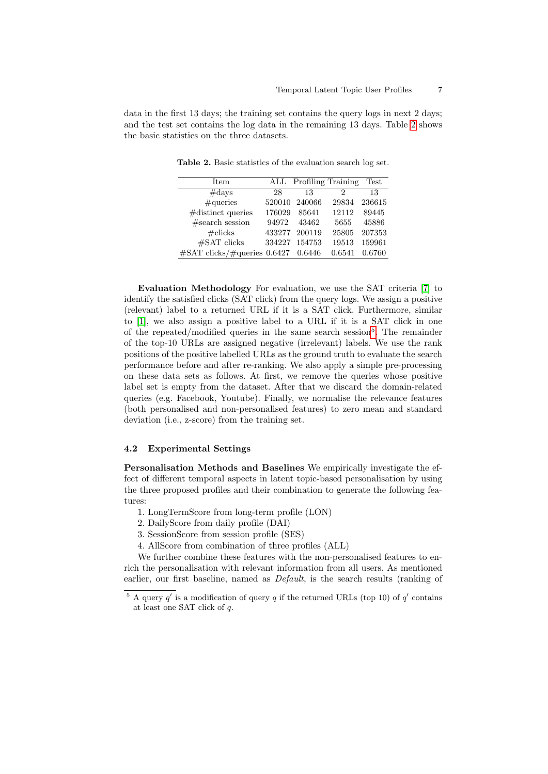data in the first 13 days; the training set contains the query logs in next 2 days; and the test set contains the log data in the remaining 13 days. Table [2](#page-7-0) shows the basic statistics on the three datasets.

| Item                                          |        | ALL Profiling Training |        | <b>Test</b> |
|-----------------------------------------------|--------|------------------------|--------|-------------|
| $\#\mathrm{days}$                             | 28     | 13                     | 2      | 13          |
| $#$ queries                                   | 520010 | 240066                 | 29834  | 236615      |
| $\#$ distinct queries                         | 176029 | 85641                  | 12112  | 89445       |
| $#search$ session                             | 94972  | 43462                  | 5655   | 45886       |
| $\#clicks$                                    | 433277 | 200119                 | 25805  | 207353      |
| $\#SAT$ clicks                                | 334227 | 154753                 | 19513  | 159961      |
| $\#\text{SAT clicks}/\#\text{queries 0.6427}$ |        | 0.6446                 | 0.6541 | 0.6760      |

<span id="page-7-0"></span>Table 2. Basic statistics of the evaluation search log set.

Evaluation Methodology For evaluation, we use the SAT criteria [\[7\]](#page-12-12) to identify the satisfied clicks (SAT click) from the query logs. We assign a positive (relevant) label to a returned URL if it is a SAT click. Furthermore, similar to [\[1\]](#page-12-0), we also assign a positive label to a URL if it is a SAT click in one of the repeated/modified queries in the same search session<sup>[5](#page-7-1)</sup>. The remainder of the top-10 URLs are assigned negative (irrelevant) labels. We use the rank positions of the positive labelled URLs as the ground truth to evaluate the search performance before and after re-ranking. We also apply a simple pre-processing on these data sets as follows. At first, we remove the queries whose positive label set is empty from the dataset. After that we discard the domain-related queries (e.g. Facebook, Youtube). Finally, we normalise the relevance features (both personalised and non-personalised features) to zero mean and standard deviation (i.e., z-score) from the training set.

#### 4.2 Experimental Settings

Personalisation Methods and Baselines We empirically investigate the effect of different temporal aspects in latent topic-based personalisation by using the three proposed profiles and their combination to generate the following features:

- 1. LongTermScore from long-term profile (LON)
- 2. DailyScore from daily profile (DAI)
- 3. SessionScore from session profile (SES)
- 4. AllScore from combination of three profiles (ALL)

We further combine these features with the non-personalised features to enrich the personalisation with relevant information from all users. As mentioned earlier, our first baseline, named as Default, is the search results (ranking of

<span id="page-7-1"></span><sup>&</sup>lt;sup>5</sup> A query  $q'$  is a modification of query q if the returned URLs (top 10) of  $q'$  contains at least one SAT click of q.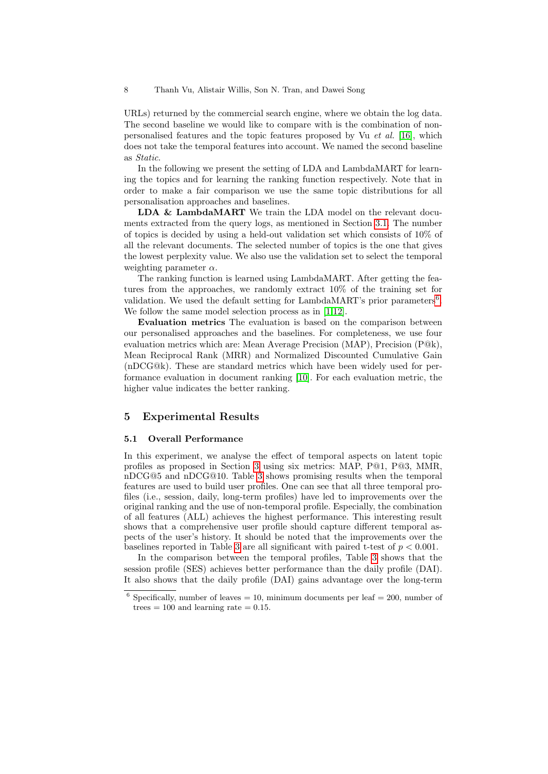URLs) returned by the commercial search engine, where we obtain the log data. The second baseline we would like to compare with is the combination of nonpersonalised features and the topic features proposed by Vu et al. [\[16\]](#page-12-4), which does not take the temporal features into account. We named the second baseline as Static.

In the following we present the setting of LDA and LambdaMART for learning the topics and for learning the ranking function respectively. Note that in order to make a fair comparison we use the same topic distributions for all personalisation approaches and baselines.

LDA & LambdaMART We train the LDA model on the relevant documents extracted from the query logs, as mentioned in Section [3.1.](#page-3-1) The number of topics is decided by using a held-out validation set which consists of 10% of all the relevant documents. The selected number of topics is the one that gives the lowest perplexity value. We also use the validation set to select the temporal weighting parameter  $\alpha$ .

The ranking function is learned using LambdaMART. After getting the features from the approaches, we randomly extract 10% of the training set for validation. We used the default setting for LambdaMART's prior parameters<sup>[6](#page-8-1)</sup>. We follow the same model selection process as in [\[1,](#page-12-0)[12\]](#page-12-2).

Evaluation metrics The evaluation is based on the comparison between our personalised approaches and the baselines. For completeness, we use four evaluation metrics which are: Mean Average Precision (MAP), Precision (P@k), Mean Reciprocal Rank (MRR) and Normalized Discounted Cumulative Gain (nDCG@k). These are standard metrics which have been widely used for performance evaluation in document ranking [\[10\]](#page-12-18). For each evaluation metric, the higher value indicates the better ranking.

#### <span id="page-8-0"></span>5 Experimental Results

#### 5.1 Overall Performance

In this experiment, we analyse the effect of temporal aspects on latent topic profiles as proposed in Section [3](#page-3-0) using six metrics: MAP, P@1, P@3, MMR, nDCG@5 and nDCG@10. Table [3](#page-9-0) shows promising results when the temporal features are used to build user profiles. One can see that all three temporal profiles (i.e., session, daily, long-term profiles) have led to improvements over the original ranking and the use of non-temporal profile. Especially, the combination of all features (ALL) achieves the highest performance. This interesting result shows that a comprehensive user profile should capture different temporal aspects of the user's history. It should be noted that the improvements over the baselines reported in Table [3](#page-9-0) are all significant with paired t-test of  $p < 0.001$ .

In the comparison between the temporal profiles, Table [3](#page-9-0) shows that the session profile (SES) achieves better performance than the daily profile (DAI). It also shows that the daily profile (DAI) gains advantage over the long-term

<span id="page-8-1"></span><sup>&</sup>lt;sup>6</sup> Specifically, number of leaves = 10, minimum documents per leaf = 200, number of trees  $= 100$  and learning rate  $= 0.15$ .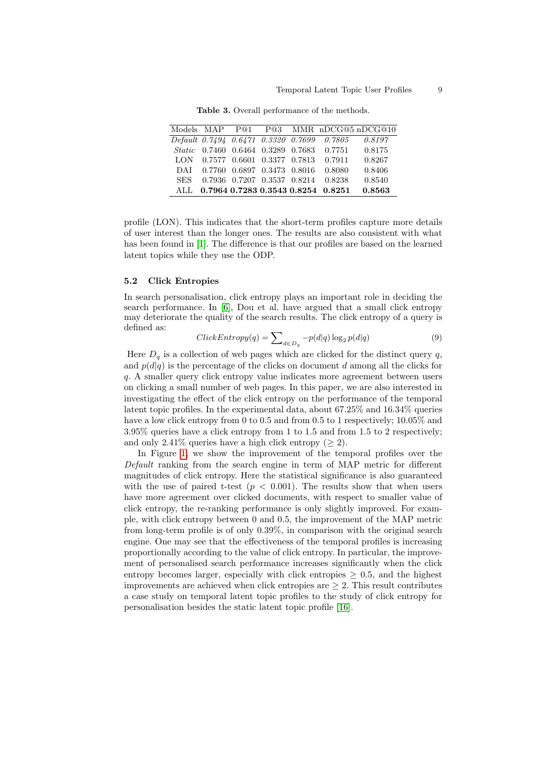|  |  |                                                  | Models MAP P@1 P@3 MMR nDCG@5 nDCG@10 |
|--|--|--------------------------------------------------|---------------------------------------|
|  |  | Default 0.7494 0.6471 0.3320 0.7699 0.7805       | 0.8197                                |
|  |  | <i>Static</i> 0.7460 0.6464 0.3289 0.7683 0.7751 | 0.8175                                |
|  |  | LON 0.7577 0.6601 0.3377 0.7813 0.7911           | 0.8267                                |
|  |  | DAI 0.7760 0.6897 0.3473 0.8016 0.8080           | 0.8406                                |
|  |  | SES 0.7936 0.7207 0.3537 0.8214 0.8238           | 0.8540                                |
|  |  | ALL 0.7964 0.7283 0.3543 0.8254 0.8251           | 0.8563                                |

<span id="page-9-0"></span>Table 3. Overall performance of the methods.

profile (LON). This indicates that the short-term profiles capture more details of user interest than the longer ones. The results are also consistent with what has been found in [\[1\]](#page-12-0). The difference is that our profiles are based on the learned latent topics while they use the ODP.

#### 5.2 Click Entropies

In search personalisation, click entropy plays an important role in deciding the search performance. In [\[6\]](#page-12-9), Dou et al. have argued that a small click entropy may deteriorate the quality of the search results. The click entropy of a query is defined as:

$$
ClickEntropy(q) = \sum_{d \in D_q} -p(d|q) \log_2 p(d|q)
$$
\n(9)

Here  $D_q$  is a collection of web pages which are clicked for the distinct query q, and  $p(d|q)$  is the percentage of the clicks on document d among all the clicks for q. A smaller query click entropy value indicates more agreement between users on clicking a small number of web pages. In this paper, we are also interested in investigating the effect of the click entropy on the performance of the temporal latent topic profiles. In the experimental data, about 67.25% and 16.34% queries have a low click entropy from 0 to 0.5 and from 0.5 to 1 respectively; 10.05% and 3.95% queries have a click entropy from 1 to 1.5 and from 1.5 to 2 respectively; and only 2.41% queries have a high click entropy  $(2)$ .

In Figure [1,](#page-10-0) we show the improvement of the temporal profiles over the Default ranking from the search engine in term of MAP metric for different magnitudes of click entropy. Here the statistical significance is also guaranteed with the use of paired t-test ( $p < 0.001$ ). The results show that when users have more agreement over clicked documents, with respect to smaller value of click entropy, the re-ranking performance is only slightly improved. For example, with click entropy between 0 and 0.5, the improvement of the MAP metric from long-term profile is of only 0.39%, in comparison with the original search engine. One may see that the effectiveness of the temporal profiles is increasing proportionally according to the value of click entropy. In particular, the improvement of personalised search performance increases significantly when the click entropy becomes larger, especially with click entropies  $\geq 0.5$ , and the highest improvements are achieved when click entropies are  $\geq 2$ . This result contributes a case study on temporal latent topic profiles to the study of click entropy for personalisation besides the static latent topic profile [\[16\]](#page-12-4).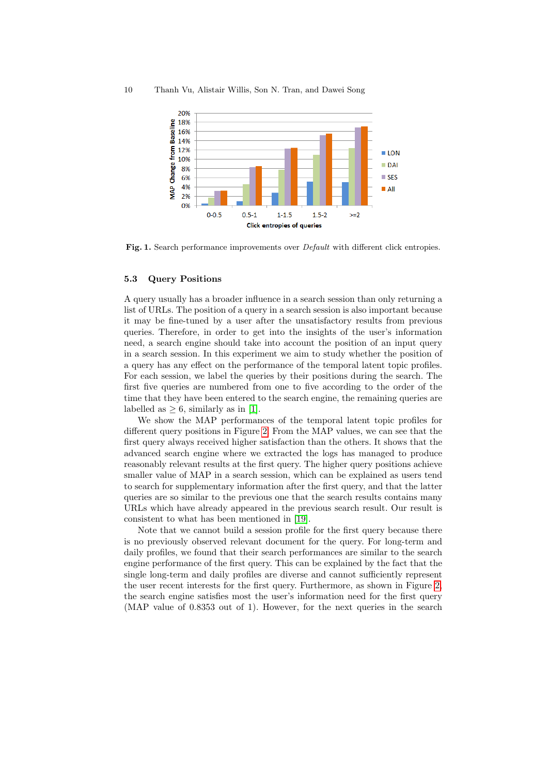

<span id="page-10-0"></span>Fig. 1. Search performance improvements over Default with different click entropies.

#### 5.3 Query Positions

A query usually has a broader influence in a search session than only returning a list of URLs. The position of a query in a search session is also important because it may be fine-tuned by a user after the unsatisfactory results from previous queries. Therefore, in order to get into the insights of the user's information need, a search engine should take into account the position of an input query in a search session. In this experiment we aim to study whether the position of a query has any effect on the performance of the temporal latent topic profiles. For each session, we label the queries by their positions during the search. The first five queries are numbered from one to five according to the order of the time that they have been entered to the search engine, the remaining queries are labelled as  $\geq 6$ , similarly as in [\[1\]](#page-12-0).

We show the MAP performances of the temporal latent topic profiles for different query positions in Figure [2.](#page-11-1) From the MAP values, we can see that the first query always received higher satisfaction than the others. It shows that the advanced search engine where we extracted the logs has managed to produce reasonably relevant results at the first query. The higher query positions achieve smaller value of MAP in a search session, which can be explained as users tend to search for supplementary information after the first query, and that the latter queries are so similar to the previous one that the search results contains many URLs which have already appeared in the previous search result. Our result is consistent to what has been mentioned in [\[19\]](#page-12-5).

Note that we cannot build a session profile for the first query because there is no previously observed relevant document for the query. For long-term and daily profiles, we found that their search performances are similar to the search engine performance of the first query. This can be explained by the fact that the single long-term and daily profiles are diverse and cannot sufficiently represent the user recent interests for the first query. Furthermore, as shown in Figure [2,](#page-11-1) the search engine satisfies most the user's information need for the first query (MAP value of 0.8353 out of 1). However, for the next queries in the search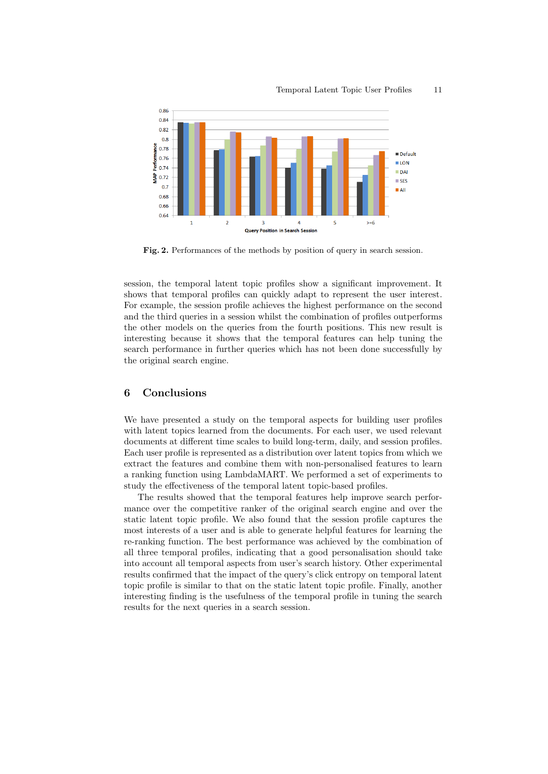

<span id="page-11-1"></span>Fig. 2. Performances of the methods by position of query in search session.

session, the temporal latent topic profiles show a significant improvement. It shows that temporal profiles can quickly adapt to represent the user interest. For example, the session profile achieves the highest performance on the second and the third queries in a session whilst the combination of profiles outperforms the other models on the queries from the fourth positions. This new result is interesting because it shows that the temporal features can help tuning the search performance in further queries which has not been done successfully by the original search engine.

#### <span id="page-11-0"></span>6 Conclusions

We have presented a study on the temporal aspects for building user profiles with latent topics learned from the documents. For each user, we used relevant documents at different time scales to build long-term, daily, and session profiles. Each user profile is represented as a distribution over latent topics from which we extract the features and combine them with non-personalised features to learn a ranking function using LambdaMART. We performed a set of experiments to study the effectiveness of the temporal latent topic-based profiles.

The results showed that the temporal features help improve search performance over the competitive ranker of the original search engine and over the static latent topic profile. We also found that the session profile captures the most interests of a user and is able to generate helpful features for learning the re-ranking function. The best performance was achieved by the combination of all three temporal profiles, indicating that a good personalisation should take into account all temporal aspects from user's search history. Other experimental results confirmed that the impact of the query's click entropy on temporal latent topic profile is similar to that on the static latent topic profile. Finally, another interesting finding is the usefulness of the temporal profile in tuning the search results for the next queries in a search session.